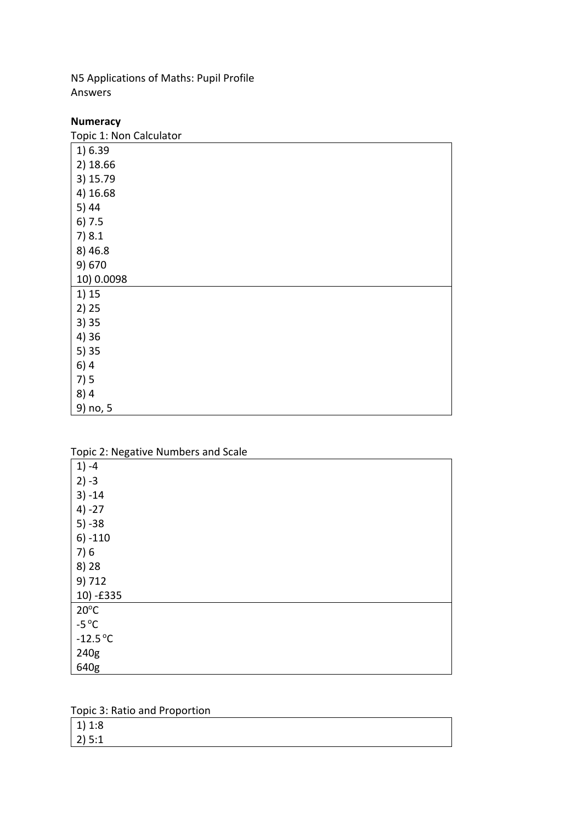N5 Applications of Maths: Pupil Profile Answers

## **Numeracy**

| Topic 1: Non Calculator |
|-------------------------|
| 1) 6.39                 |
| 2) 18.66                |
| 3) 15.79                |
| 4) 16.68                |
| 5)44                    |
| 6) 7.5                  |
| 7)8.1                   |
| 8) 46.8                 |
| 9) 670                  |
| 10) 0.0098              |
| 1) 15                   |
| 2) 25                   |
| 3)35                    |
| 4) 36                   |
| 5)35                    |
| 6)4                     |
| 7)5                     |
| 8)4                     |
| 9) no, 5                |

Topic 2: Negative Numbers and Scale

| ∽                         |  |
|---------------------------|--|
| $1) -4$                   |  |
| $2) -3$                   |  |
| $3) - 14$                 |  |
| $4) -27$                  |  |
| $5) - 38$                 |  |
| $6) - 110$                |  |
| 7)6                       |  |
| 8) 28                     |  |
| 9) 712                    |  |
| 10) -£335                 |  |
| $20^{\circ}$ C            |  |
| -5 $\mathrm{^{\circ}C}$   |  |
| $-12.5\,^{\circ}\text{C}$ |  |
| 240g                      |  |
| 640g                      |  |

Topic 3: Ratio and Proportion

| 1) 1:8    |  |  |
|-----------|--|--|
| $ 2)$ 5:1 |  |  |
|           |  |  |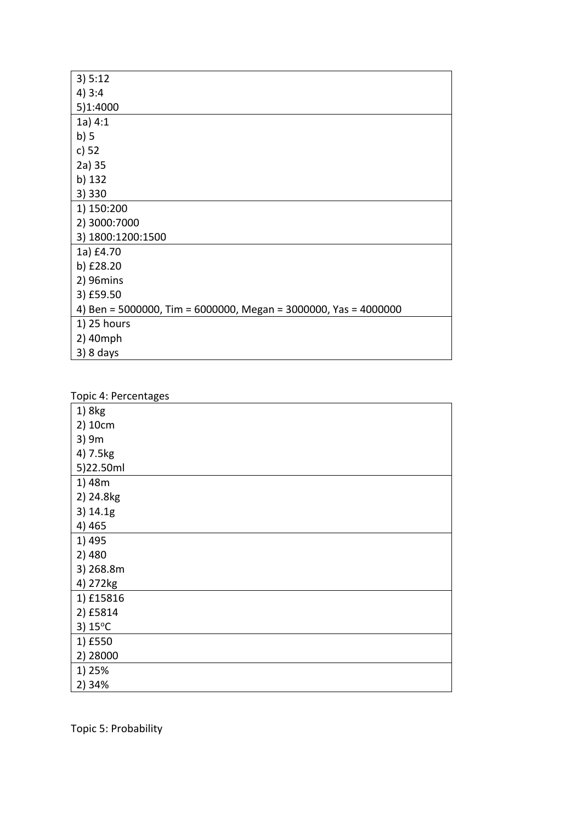| 3) 5:12                                                         |
|-----------------------------------------------------------------|
| 4)3:4                                                           |
| 5)1:4000                                                        |
| 1a) 4:1                                                         |
| b)5                                                             |
| c) 52                                                           |
| 2a) 35                                                          |
| b) 132                                                          |
| 3) 330                                                          |
| 1) 150:200                                                      |
| 2) 3000:7000                                                    |
| 3) 1800:1200:1500                                               |
| 1a) £4.70                                                       |
| b) £28.20                                                       |
| 2) 96mins                                                       |
| 3) £59.50                                                       |
| 4) Ben = 5000000, Tim = 6000000, Megan = 3000000, Yas = 4000000 |
| 1) 25 hours                                                     |
| 2) 40mph                                                        |
| $3)$ 8 days                                                     |

| Topic 4: Percentages |
|----------------------|
| 1) 8kg               |
| 2) 10cm              |
| 3) 9m                |
| 4) 7.5kg             |
| 5)22.50ml            |
| 1) 48m               |
| 2) 24.8kg            |
| 3) 14.1g             |
| 4) 465               |
| 1) 495               |
| 2) 480               |
| 3) 268.8m            |
| 4) 272kg             |
| 1) £15816            |
| 2) £5814             |
| 3) 15°C              |
| 1) £550              |
| 2) 28000             |
| 1) 25%               |
| 2) 34%               |

Topic 5: Probability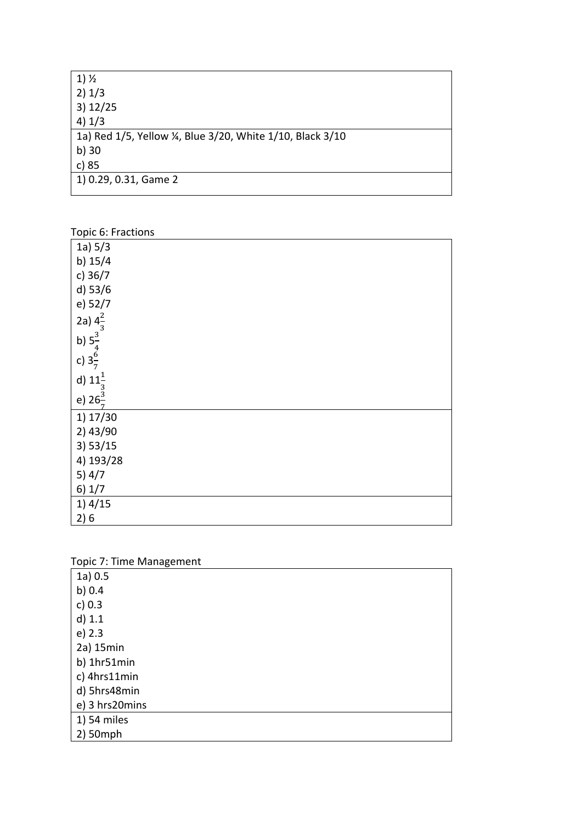| $1)$ $\frac{1}{2}$                                       |
|----------------------------------------------------------|
| 2) 1/3                                                   |
| 3) 12/25                                                 |
| 4) 1/3                                                   |
| 1a) Red 1/5, Yellow ¼, Blue 3/20, White 1/10, Black 3/10 |
| b) 30                                                    |
| c) 85                                                    |
| 1) 0.29, 0.31, Game 2                                    |
|                                                          |

#### Topic 6: Fractions

| 1a) 5/3                                  |  |  |  |
|------------------------------------------|--|--|--|
| b) $15/4$                                |  |  |  |
| c) 36/7                                  |  |  |  |
| d) 53/6                                  |  |  |  |
| e) 52/7                                  |  |  |  |
| 2a) $4\frac{2}{3}$                       |  |  |  |
|                                          |  |  |  |
| b) $5\frac{3}{4}$<br>c) $3\frac{6}{7}$   |  |  |  |
|                                          |  |  |  |
| d) $11\frac{1}{3}$<br>e) $26\frac{3}{7}$ |  |  |  |
| 1) 17/30                                 |  |  |  |
| 2) 43/90                                 |  |  |  |
| 3) 53/15                                 |  |  |  |
| 4) 193/28                                |  |  |  |
| 5) $4/7$                                 |  |  |  |
| 6) 1/7                                   |  |  |  |
| 1)4/15                                   |  |  |  |
| 2)6                                      |  |  |  |

|  | Topic 7: Time Management |
|--|--------------------------|
|  |                          |

| 1a) 0.5<br>b) $0.4$<br>c) 0.3<br>$d)$ 1.1<br>e) 2.3<br>2a) 15min<br>b) 1hr51min<br>c) 4hrs11min<br>d) 5hrs48min<br>e) 3 hrs20mins<br>1) 54 miles<br>2) 50mph | . . | ັ |  |  |  |
|--------------------------------------------------------------------------------------------------------------------------------------------------------------|-----|---|--|--|--|
|                                                                                                                                                              |     |   |  |  |  |
|                                                                                                                                                              |     |   |  |  |  |
|                                                                                                                                                              |     |   |  |  |  |
|                                                                                                                                                              |     |   |  |  |  |
|                                                                                                                                                              |     |   |  |  |  |
|                                                                                                                                                              |     |   |  |  |  |
|                                                                                                                                                              |     |   |  |  |  |
|                                                                                                                                                              |     |   |  |  |  |
|                                                                                                                                                              |     |   |  |  |  |
|                                                                                                                                                              |     |   |  |  |  |
|                                                                                                                                                              |     |   |  |  |  |
|                                                                                                                                                              |     |   |  |  |  |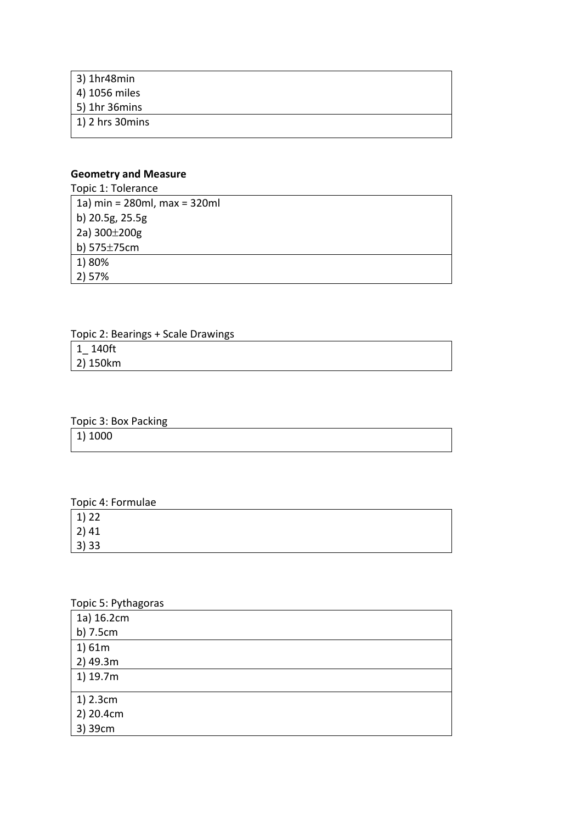| 3) 1hr48min               |  |
|---------------------------|--|
| 4) 1056 miles             |  |
| $5)$ 1hr 36 $m$ ins       |  |
| $ 1\rangle$ 2 hrs 30 mins |  |
|                           |  |

## **Geometry and Measure**

| Topic 1: Tolerance                |
|-----------------------------------|
| 1a) $min = 280ml$ , $max = 320ml$ |
| b) 20.5g, 25.5g                   |
| 2a) 300±200g                      |
| b) 575±75cm                       |
| 1) 80%                            |
| 2) 57%                            |

| Topic 2: Bearings + Scale Drawings |  |  |
|------------------------------------|--|--|
| 1 140ft                            |  |  |
| 2) 150km                           |  |  |
|                                    |  |  |

### Topic 3: Box Packing

|         | - |  |  |
|---------|---|--|--|
| 1) 1000 |   |  |  |
|         |   |  |  |

# Topic 4: Formulae

| $\begin{array}{ c} 1) 22 \\ 2) 41 \\ 3) 33 \end{array}$ |  |  |  |
|---------------------------------------------------------|--|--|--|
|                                                         |  |  |  |

# Topic 5: Pythagoras

| 1a) 16.2cm |
|------------|
| b) 7.5cm   |
| 1)61m      |
| 2) 49.3m   |
| 1) 19.7m   |
|            |
| 1) 2.3cm   |
| 2) 20.4cm  |
| 3) 39cm    |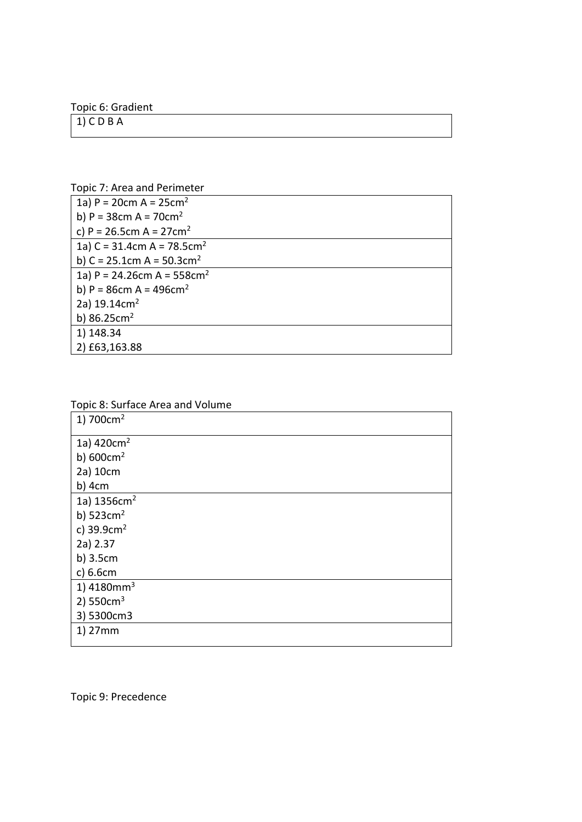Topic 6: Gradient

 $1)$  C D B A

Topic 7: Area and Perimeter

| 1a) P = 20cm A = $25cm2$                    |
|---------------------------------------------|
| b) $P = 38$ cm A = 70cm <sup>2</sup>        |
| c) P = 26.5cm A = $27 \text{cm}^2$          |
| 1a) C = 31.4cm A = $78.5cm2$                |
| b) C = $25.1$ cm A = $50.3$ cm <sup>2</sup> |
| 1a) P = 24.26cm A = $558$ cm <sup>2</sup>   |
| b) P = $86cm A = 496cm2$                    |
| 2a) $19.14 \text{cm}^2$                     |
| b) $86.25cm2$                               |
| 1) 148.34                                   |
| 2) £63,163.88                               |

| Topic 8: Surface Area and Volume |
|----------------------------------|
| 1) $700cm2$                      |
| 1a) 420cm <sup>2</sup>           |
| b) $600 \text{cm}^2$             |
| 2a) 10cm                         |
| $b)$ 4cm                         |
| 1a) 1356cm <sup>2</sup>          |
| b) $523cm2$                      |
| c) $39.9cm2$                     |
| 2a) 2.37                         |
| $b)$ 3.5 $cm$                    |
| c) 6.6cm                         |
| 1) $4180mm3$                     |
| 2) $550cm3$                      |
| 3) 5300cm3                       |
| 1) 27mm                          |
|                                  |

Topic 8: Surface Area and Volume

Topic 9: Precedence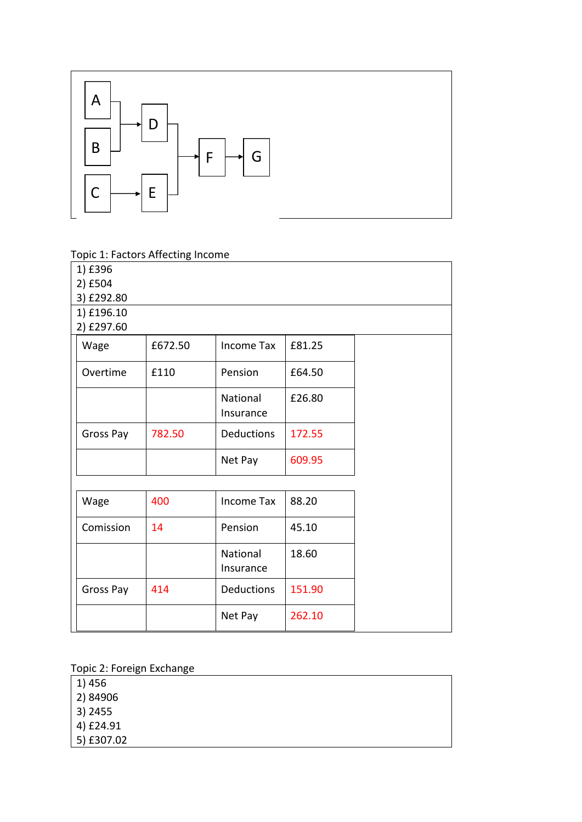

Topic 1: Factors Affecting Income

| 1) £396    |         |                       |        |  |
|------------|---------|-----------------------|--------|--|
| 2) £504    |         |                       |        |  |
| 3) £292.80 |         |                       |        |  |
| 1) £196.10 |         |                       |        |  |
| 2) £297.60 |         |                       |        |  |
| Wage       | £672.50 | <b>Income Tax</b>     | £81.25 |  |
| Overtime   | £110    | Pension               | £64.50 |  |
|            |         | National<br>Insurance | £26.80 |  |
| Gross Pay  | 782.50  | <b>Deductions</b>     | 172.55 |  |
|            |         | Net Pay               | 609.95 |  |
|            |         |                       |        |  |
| Wage       | 400     | Income Tax            | 88.20  |  |
| Comission  | 14      | Pension               | 45.10  |  |
|            |         | National<br>Insurance | 18.60  |  |
| Gross Pay  | 414     | <b>Deductions</b>     | 151.90 |  |
|            |         | Net Pay               | 262.10 |  |

Topic 2: Foreign Exchange

- 1) 456
- 2) 84906
- 3) 2455
- 4) £24.91
- 5) £307.02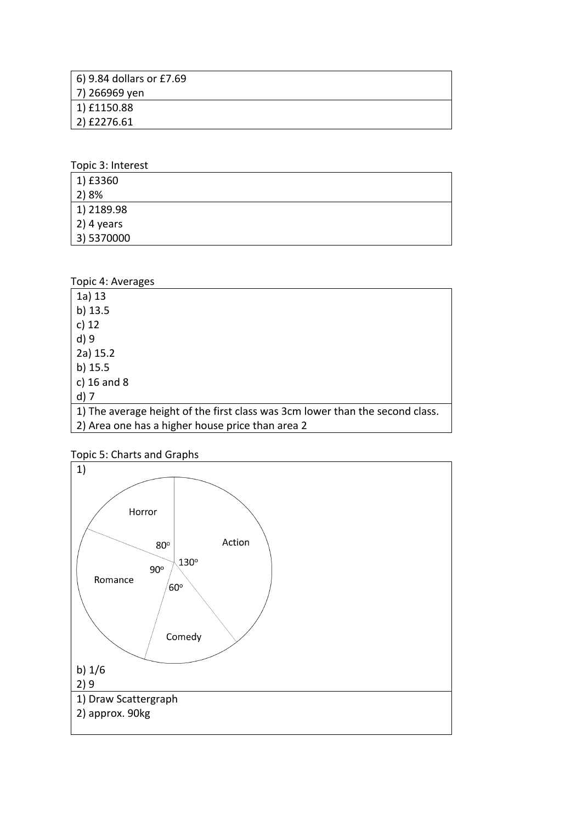| 6) 9.84 dollars or £7.69 |
|--------------------------|
| 7) 266969 yen            |
| 1) £1150.88              |
| 2) £2276.61              |

Topic 3: Interest

| 1) £3360           |  |
|--------------------|--|
| 2) 8%              |  |
| 1) 2189.98         |  |
| $\vert$ 2) 4 years |  |
| 3) 5370000         |  |

Topic 4: Averages

| $1a)$ 13                                                                      |
|-------------------------------------------------------------------------------|
| b) $13.5$                                                                     |
| c) $12$                                                                       |
| $d$ ) 9                                                                       |
| $2a)$ 15.2                                                                    |
| $b)$ 15.5                                                                     |
| c) $16$ and $8$                                                               |
| $d)$ 7                                                                        |
| 1) The average height of the first class was 3cm lower than the second class. |
| 2) Area one has a higher house price than area 2                              |

Topic 5: Charts and Graphs